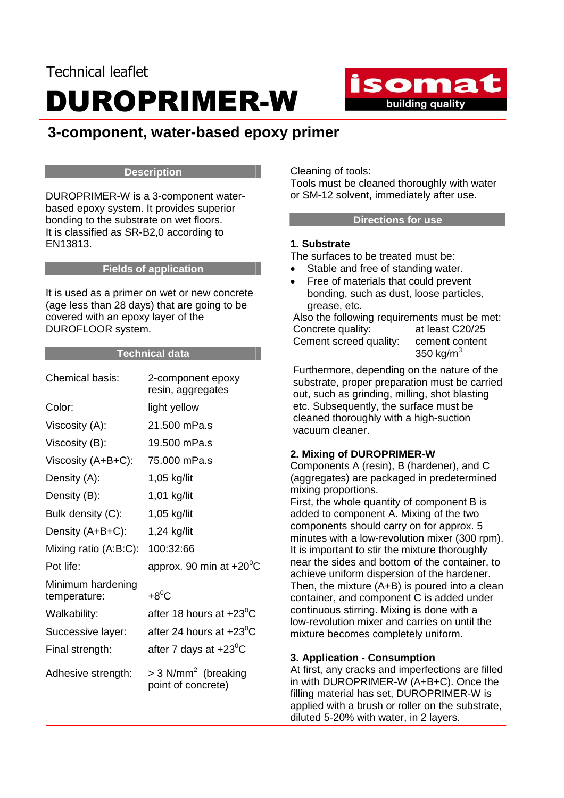## Technical leaflet DUROPRIMER-W



### **3-component, water-based epoxy primer**

#### **Description**

DUROPRIMER-W is a 3-component waterbased epoxy system. It provides superior bonding to the substrate on wet floors. It is classified as SR-B2,0 according to EN13813.

#### **Fields of application**

It is used as a primer on wet or new concrete (age less than 28 days) that are going to be covered with an epoxy layer of the DUROFLOOR system.

#### **Technical data**

| Chemical basis:                   | 2-component epoxy<br>resin, aggregates                  |
|-----------------------------------|---------------------------------------------------------|
| Color:                            | light yellow                                            |
| Viscosity (A):                    | 21.500 mPa.s                                            |
| Viscosity (B):                    | 19.500 mPa.s                                            |
| Viscosity (A+B+C):                | 75,000 mPa.s                                            |
| Density (A):                      | 1,05 kg/lit                                             |
| Density (B):                      | 1,01 kg/lit                                             |
| Bulk density (C):                 | 1,05 kg/lit                                             |
| Density (A+B+C):                  | 1,24 kg/lit                                             |
| Mixing ratio $(A:B:C)$ :          | 100:32:66                                               |
| Pot life:                         | approx. 90 min at $+20^{\circ}$ C                       |
| Minimum hardening<br>temperature: | $+8^0C$                                                 |
| Walkability:                      | after 18 hours at $+23^{\circ}$ C                       |
| Successive layer:                 | after 24 hours at $+23^{\circ}$ C                       |
| Final strength:                   | after 7 days at $+23^{\circ}$ C                         |
| Adhesive strength:                | $>$ 3 N/mm <sup>2</sup> (breaking<br>point of concrete) |

Cleaning of tools: Tools must be cleaned thoroughly with water or SM-12 solvent, immediately after use.

#### **Directions for use**

#### **1. Substrate**

The surfaces to be treated must be:

- Stable and free of standing water.
- Free of materials that could prevent bonding, such as dust, loose particles, grease, etc.

Also the following requirements must be met: Concrete quality: at least C20/25 Cement screed quality: cement content 350 kg/ $m<sup>3</sup>$ 

Furthermore, depending on the nature of the substrate, proper preparation must be carried out, such as grinding, milling, shot blasting etc. Subsequently, the surface must be cleaned thoroughly with a high-suction vacuum cleaner.

#### **2. Mixing of DUROPRIMER-W**

Components A (resin), B (hardener), and C (aggregates) are packaged in predetermined mixing proportions.

First, the whole quantity of component B is added to component A. Mixing of the two components should carry on for approx. 5 minutes with a low-revolution mixer (300 rpm). It is important to stir the mixture thoroughly near the sides and bottom of the container, to achieve uniform dispersion of the hardener. Then, the mixture (A+B) is poured into a clean container, and component C is added under continuous stirring. Mixing is done with a low-revolution mixer and carries on until the mixture becomes completely uniform.

#### **3. Application - Consumption**

At first, any cracks and imperfections are filled in with DUROPRIMER-W (A+B+C). Once the filling material has set, DUROPRIMER-W is applied with a brush or roller on the substrate, diluted 5-20% with water, in 2 layers.